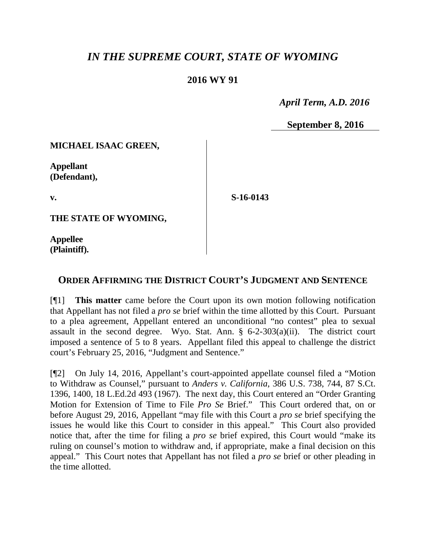## *IN THE SUPREME COURT, STATE OF WYOMING*

## **2016 WY 91**

 *April Term, A.D. 2016*

**September 8, 2016**

**MICHAEL ISAAC GREEN,**

**Appellant (Defendant),**

**v.**

**S-16-0143**

**THE STATE OF WYOMING,**

**Appellee (Plaintiff).**

## **ORDER AFFIRMING THE DISTRICT COURT'S JUDGMENT AND SENTENCE**

[¶1] **This matter** came before the Court upon its own motion following notification that Appellant has not filed a *pro se* brief within the time allotted by this Court. Pursuant to a plea agreement, Appellant entered an unconditional "no contest" plea to sexual assault in the second degree. Wyo. Stat. Ann. § 6-2-303(a)(ii). The district court imposed a sentence of 5 to 8 years. Appellant filed this appeal to challenge the district court's February 25, 2016, "Judgment and Sentence."

[¶2] On July 14, 2016, Appellant's court-appointed appellate counsel filed a "Motion to Withdraw as Counsel," pursuant to *Anders v. California*, 386 U.S. 738, 744, 87 S.Ct. 1396, 1400, 18 L.Ed.2d 493 (1967). The next day, this Court entered an "Order Granting Motion for Extension of Time to File *Pro Se* Brief." This Court ordered that, on or before August 29, 2016, Appellant "may file with this Court a *pro se* brief specifying the issues he would like this Court to consider in this appeal." This Court also provided notice that, after the time for filing a *pro se* brief expired, this Court would "make its ruling on counsel's motion to withdraw and, if appropriate, make a final decision on this appeal." This Court notes that Appellant has not filed a *pro se* brief or other pleading in the time allotted.